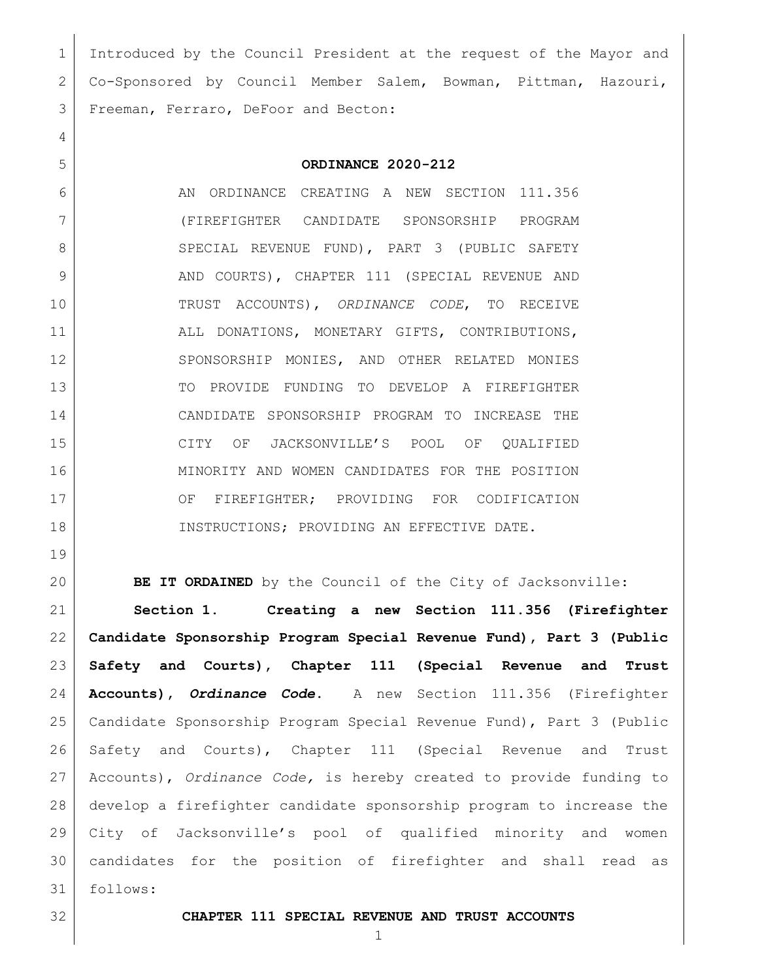Introduced by the Council President at the request of the Mayor and Co-Sponsored by Council Member Salem, Bowman, Pittman, Hazouri, Freeman, Ferraro, DeFoor and Becton:

## **ORDINANCE 2020-212**

6 AN ORDINANCE CREATING A NEW SECTION 111.356 (FIREFIGHTER CANDIDATE SPONSORSHIP PROGRAM 8 SPECIAL REVENUE FUND), PART 3 (PUBLIC SAFETY 9 AND COURTS), CHAPTER 111 (SPECIAL REVENUE AND TRUST ACCOUNTS), *ORDINANCE CODE*, TO RECEIVE ALL DONATIONS, MONETARY GIFTS, CONTRIBUTIONS, 12 SPONSORSHIP MONIES, AND OTHER RELATED MONIES TO PROVIDE FUNDING TO DEVELOP A FIREFIGHTER CANDIDATE SPONSORSHIP PROGRAM TO INCREASE THE CITY OF JACKSONVILLE'S POOL OF QUALIFIED MINORITY AND WOMEN CANDIDATES FOR THE POSITION 17 | CF FIREFIGHTER; PROVIDING FOR CODIFICATION INSTRUCTIONS; PROVIDING AN EFFECTIVE DATE.

**BE IT ORDAINED** by the Council of the City of Jacksonville:

 **Section 1. Creating a new Section 111.356 (Firefighter Candidate Sponsorship Program Special Revenue Fund), Part 3 (Public Safety and Courts), Chapter 111 (Special Revenue and Trust Accounts),** *Ordinance Code***.** A new Section 111.356 (Firefighter Candidate Sponsorship Program Special Revenue Fund), Part 3 (Public Safety and Courts), Chapter 111 (Special Revenue and Trust Accounts), *Ordinance Code,* is hereby created to provide funding to develop a firefighter candidate sponsorship program to increase the City of Jacksonville's pool of qualified minority and women candidates for the position of firefighter and shall read as follows:

**CHAPTER 111 SPECIAL REVENUE AND TRUST ACCOUNTS**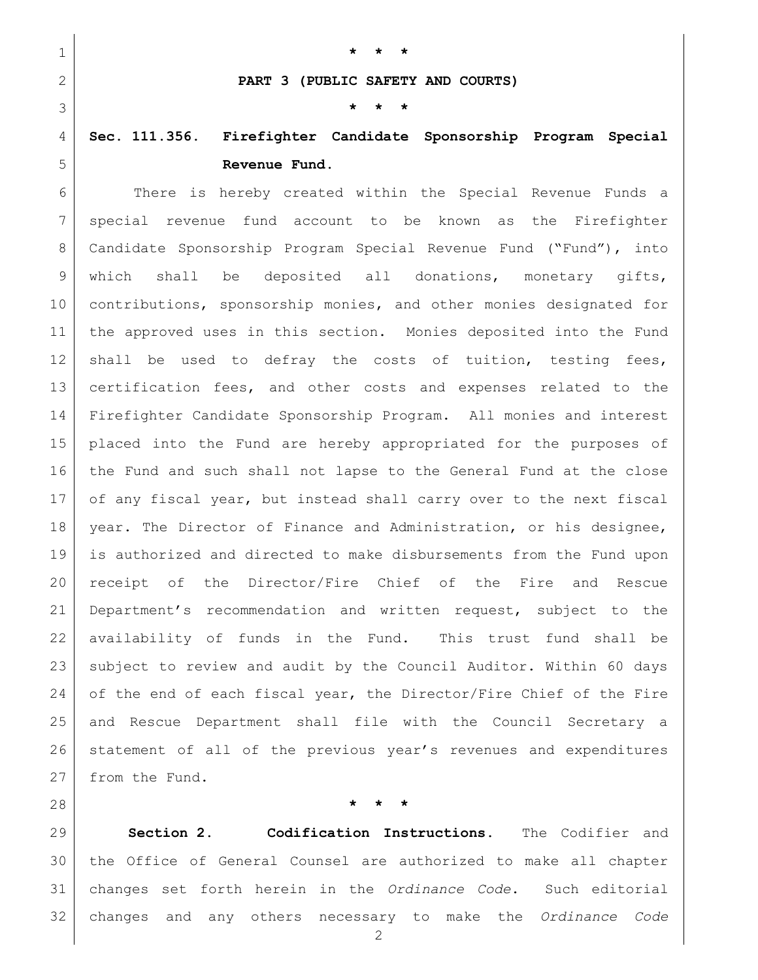| I |  |  |
|---|--|--|
|   |  |  |
|   |  |  |
|   |  |  |

**PART 3 (PUBLIC SAFETY AND COURTS)**

**\* \* \***

**\* \* \***

## **Sec. 111.356. Firefighter Candidate Sponsorship Program Special Revenue Fund.**

 There is hereby created within the Special Revenue Funds a special revenue fund account to be known as the Firefighter Candidate Sponsorship Program Special Revenue Fund ("Fund"), into which shall be deposited all donations, monetary gifts, 10 contributions, sponsorship monies, and other monies designated for the approved uses in this section. Monies deposited into the Fund 12 shall be used to defray the costs of tuition, testing fees, 13 certification fees, and other costs and expenses related to the Firefighter Candidate Sponsorship Program. All monies and interest placed into the Fund are hereby appropriated for the purposes of the Fund and such shall not lapse to the General Fund at the close of any fiscal year, but instead shall carry over to the next fiscal year. The Director of Finance and Administration, or his designee, is authorized and directed to make disbursements from the Fund upon receipt of the Director/Fire Chief of the Fire and Rescue Department's recommendation and written request, subject to the availability of funds in the Fund. This trust fund shall be subject to review and audit by the Council Auditor. Within 60 days 24 of the end of each fiscal year, the Director/Fire Chief of the Fire and Rescue Department shall file with the Council Secretary a statement of all of the previous year's revenues and expenditures 27 from the Fund.

**\* \* \***

 **Section 2. Codification Instructions.** The Codifier and the Office of General Counsel are authorized to make all chapter changes set forth herein in the *Ordinance Code*. Such editorial changes and any others necessary to make the *Ordinance Code*